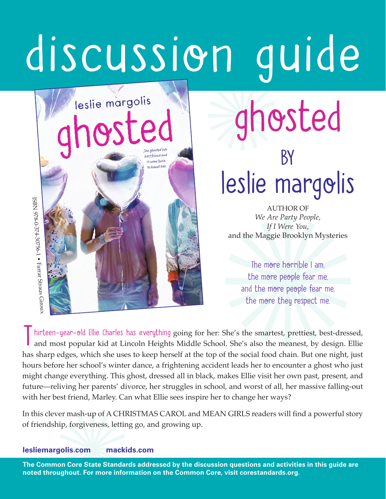# discussion guide



### ✺ ghosted BY leslie margolis

AUTHOR OF *We Are Party People, If I Were You,*  and the Maggie Brooklyn Mysteries

The more horrible I am, the more people fear me, and the more people fear me, the more they respect me.

AUTHOR OF<br> *We Are Party People,*<br> *If I Were You,*<br>
and the Maggie Brooklyn Mysteries<br>
The more horrible I am,<br>
the more people fear me,<br>
and the more people fear me,<br>
the more people fear me,<br>
the more they respect me.<br> hirteen-year-old Ellie Charles has everything going for her: She's the smartest, prettiest, best-dressed, and most popular kid at Lincoln Heights Middle School. She's also the meanest, by design. Ellie has sharp edges, which she uses to keep herself at the top of the social food chain. But one night, just hours before her school's winter dance, a frightening accident leads her to encounter a ghost who just might change everything. This ghost, dressed all in black, makes Ellie visit her own past, present, and future—reliving her parents' divorce, her struggles in school, and worst of all, her massive falling-out with her best friend, Marley. Can what Ellie sees inspire her to change her ways?

vest Hend, Marley. Can<br>ver mash-up of A CHR<br>hip, forgiveness, letting<br>**golis.com mackic**<br>non Core State Standard<br>pughout. For more inform In this clever mash-up of A CHRISTMAS CAROL and MEAN GIRLS readers will find a powerful story

#### **lesliemargolis.com mackids.com**

noted throughout. For more information on the Common Core, visit corestandards.org. **The Common Core State Standards addressed by the discussion questions and activities in this guide are**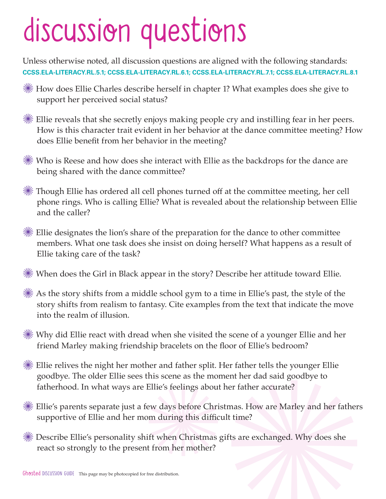### discussion questions

Unless otherwise noted, all discussion questions are aligned with the following standards: **CCSS.ELA-LITERACY.RL.5.1; CCSS.ELA-LITERACY.RL.6.1; CCSS.ELA-LITERACY.RL.7.1; CCSS.ELA-LITERACY.RL.8.1** 

- ✺ How does Ellie Charles describe herself in chapter 1? What examples does she give to support her perceived social status?
- ✺ Ellie reveals that she secretly enjoys making people cry and instilling fear in her peers. How is this character trait evident in her behavior at the dance committee meeting? How does Ellie benefit from her behavior in the meeting?
- ✺ Who is Reese and how does she interact with Ellie as the backdrops for the dance are being shared with the dance committee?
- ✺ Though Ellie has ordered all cell phones turned off at the committee meeting, her cell phone rings. Who is calling Ellie? What is revealed about the relationship between Ellie and the caller?
- ✺ Ellie designates the lion's share of the preparation for the dance to other committee members. What one task does she insist on doing herself? What happens as a result of Ellie taking care of the task?
- ✺ When does the Girl in Black appear in the story? Describe her attitude toward Ellie.
- ✺ As the story shifts from a middle school gym to a time in Ellie's past, the style of the story shifts from realism to fantasy. Cite examples from the text that indicate the move into the realm of illusion.
- ✺ Why did Ellie react with dread when she visited the scene of a younger Ellie and her friend Marley making friendship bracelets on the floor of Ellie's bedroom?
- her and father split. Her father tells the younger Ellie<br>this scene as the moment her dad said goodbye to<br>Ellie's feelings about her father accurate?<br>iew days before Christmas. How are Marley and her fathers<br>om during this ✺ Ellie relives the night her mother and father split. Her father tells the younger Ellie goodbye. The older Ellie sees this scene as the moment her dad said goodbye to fatherhood. In what ways are Ellie's feelings about her father accurate?
- ✺ Ellie's parents separate just a few days before Christmas. How are Marley and her fathers supportive of Ellie and her mom during this difficult time?
- ✺ Describe Ellie's personality shift when Christmas gifts are exchanged. Why does she react so strongly to the present from her mother?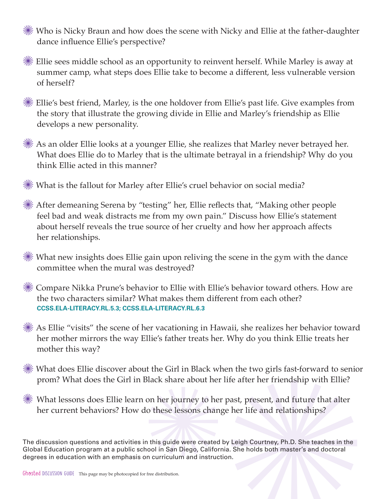✺ Who is Nicky Braun and how does the scene with Nicky and Ellie at the father-daughter dance influence Ellie's perspective?

✺ Ellie sees middle school as an opportunity to reinvent herself. While Marley is away at summer camp, what steps does Ellie take to become a different, less vulnerable version of herself?

✺ Ellie's best friend, Marley, is the one holdover from Ellie's past life. Give examples from the story that illustrate the growing divide in Ellie and Marley's friendship as Ellie develops a new personality.

✺ As an older Ellie looks at a younger Ellie, she realizes that Marley never betrayed her. What does Ellie do to Marley that is the ultimate betrayal in a friendship? Why do you think Ellie acted in this manner?

✺ What is the fallout for Marley after Ellie's cruel behavior on social media?

✺ After demeaning Serena by "testing" her, Ellie reflects that, "Making other people feel bad and weak distracts me from my own pain." Discuss how Ellie's statement about herself reveals the true source of her cruelty and how her approach affects her relationships.

✺ What new insights does Ellie gain upon reliving the scene in the gym with the dance committee when the mural was destroyed?

✺ Compare Nikka Prune's behavior to Ellie with Ellie's behavior toward others. How are the two characters similar? What makes them different from each other? **CCSS.ELA-LITERACY.RL.5.3; CCSS.ELA-LITERACY.RL.6.3**

✺ As Ellie "visits" the scene of her vacationing in Hawaii, she realizes her behavior toward her mother mirrors the way Ellie's father treats her. Why do you think Ellie treats her mother this way?

✺ What does Ellie discover about the Girl in Black when the two girls fast-forward to senior prom? What does the Girl in Black share about her life after her friendship with Ellie?

✺ What lessons does Ellie learn on her journey to her past, present, and future that alter her current behaviors? How do these lessons change her life and relationships?

t the Girl in Black when the two girls fast-forward to senior<br>Black share about her life after her friendship with Ellie?<br>on her journey to her past, present, and future that alter<br>o these lessons change her life and relat The discussion questions and activities in this guide were created by Leigh Courtney, Ph.D. She teaches in the Global Education program at a public school in San Diego, California. She holds both master's and doctoral degrees in education with an emphasis on curriculum and instruction.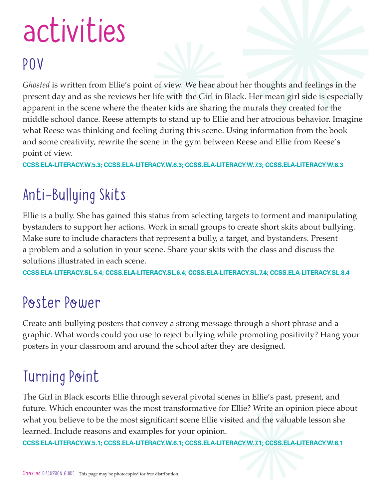## activities

#### POV

For the Search of View. We hear about her thoughts and feelings in the life with the Girl in Black. Her mean girl side is especially eater kids are sharing the murals they created for the ts to stand up to Ellie and her at *Ghosted* is written from Ellie's point of view. We hear about her thoughts and feelings in the present day and as she reviews her life with the Girl in Black. Her mean girl side is especially apparent in the scene where the theater kids are sharing the murals they created for the middle school dance. Reese attempts to stand up to Ellie and her atrocious behavior. Imagine what Reese was thinking and feeling during this scene. Using information from the book and some creativity, rewrite the scene in the gym between Reese and Ellie from Reese's point of view.

**CCSS.ELA-LITERACY.W.5.3; CCSS.ELA-LITERACY.W.6.3; CCSS.ELA-LITERACY.W.7.3; CCSS.ELA-LITERACY.W.8.3**

### Anti-Bullying Skits

Ellie is a bully. She has gained this status from selecting targets to torment and manipulating bystanders to support her actions. Work in small groups to create short skits about bullying. Make sure to include characters that represent a bully, a target, and bystanders. Present a problem and a solution in your scene. Share your skits with the class and discuss the solutions illustrated in each scene.

**CCSS.ELA-LITERACY.SL.5.4; CCSS.ELA-LITERACY.SL.6.4; CCSS.ELA-LITERACY.SL.7.4; CCSS.ELA-LITERACY.SL.8.4**

#### Poster Power

Create anti-bullying posters that convey a strong message through a short phrase and a graphic. What words could you use to reject bullying while promoting positivity? Hang your posters in your classroom and around the school after they are designed.

#### Turning Point

es in Ellie's past, pres<br>Ellie? Write an opinio<br>ted and the valuable<br>ACY.W.7.1: CCSS.ELA-LITE The Girl in Black escorts Ellie through several pivotal scenes in Ellie's past, present, and future. Which encounter was the most transformative for Ellie? Write an opinion piece about what you believe to be the most significant scene Ellie visited and the valuable lesson she learned. Include reasons and examples for your opinion.

**CCSS.ELA-LITERACY.W.5.1; CCSS.ELA-LITERACY.W.6.1; CCSS.ELA-LITERACY.W.7.1; CCSS.ELA-LITERACY.W.8.1**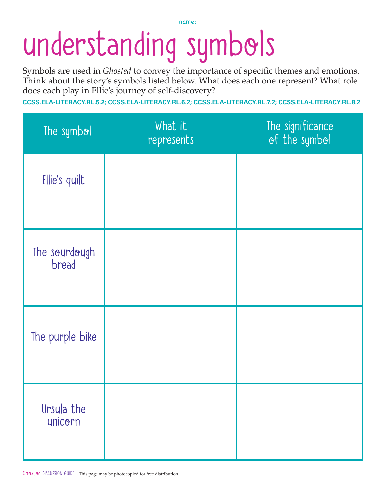name: **\_\_\_\_\_\_\_\_\_\_\_\_\_\_\_\_\_\_\_\_\_\_\_\_\_\_\_\_\_\_\_\_\_\_\_\_\_\_\_\_\_\_\_\_\_\_\_\_\_\_\_\_\_\_\_\_\_\_\_\_\_\_\_\_\_\_\_\_\_\_\_**

## understanding symbols

Symbols are used in *Ghosted* to convey the importance of specific themes and emotions. Think about the story's symbols listed below. What does each one represent? What role does each play in Ellie's journey of self-discovery?

**CCSS.ELA-LITERACY.RL.5.2; CCSS.ELA-LITERACY.RL.6.2; CCSS.ELA-LITERACY.RL.7.2; CCSS.ELA-LITERACY.RL.8.2**

| The symbol             | What it<br>represents | The significance<br>of the symbol |
|------------------------|-----------------------|-----------------------------------|
| Ellie's quilt          |                       |                                   |
| The sourdough<br>bread |                       |                                   |
| The purple bike        |                       |                                   |
| Ursula the<br>unicorn  |                       |                                   |